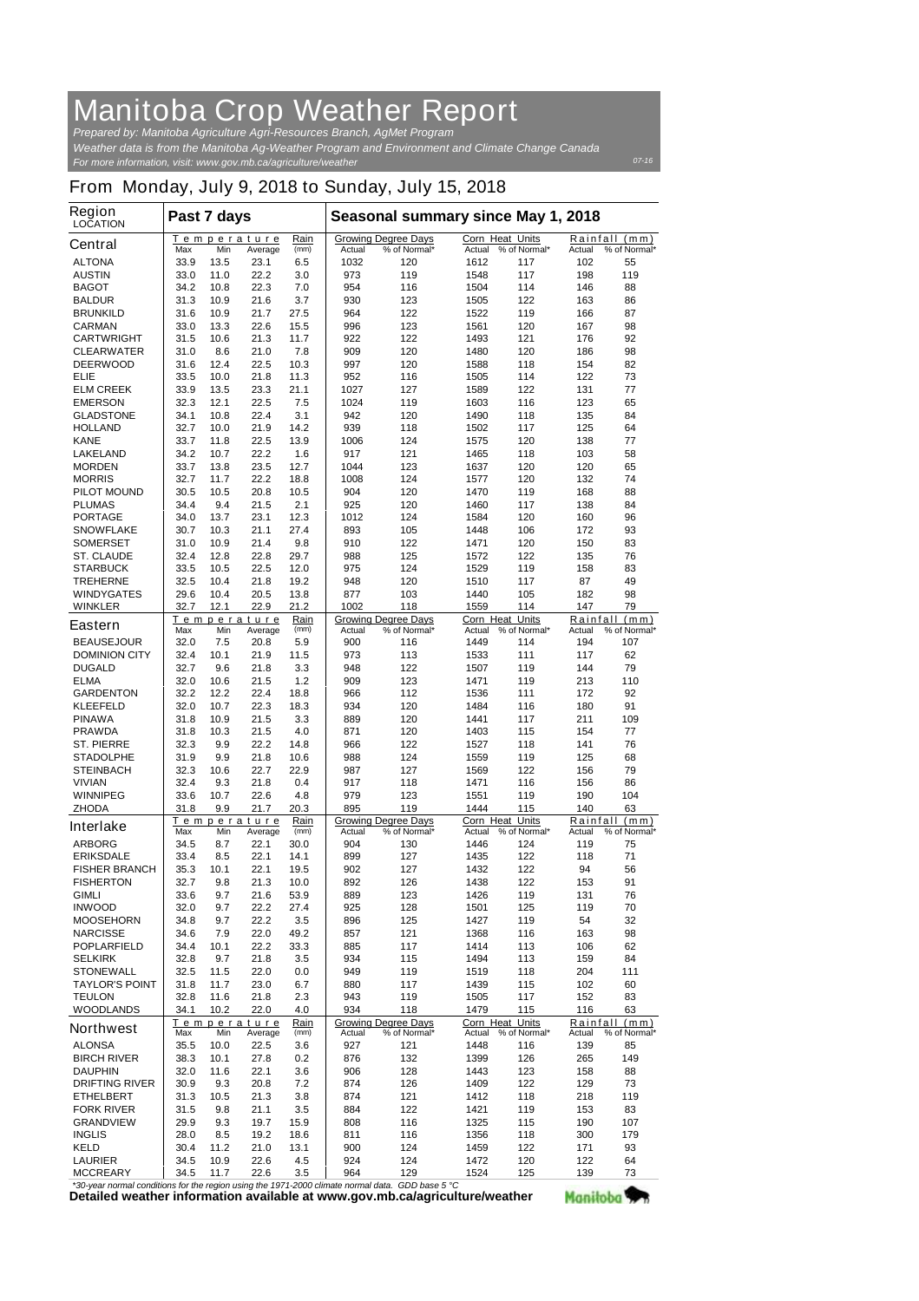## **Manitoba Crop Weather Report**

*For more information, visit: www.gov.mb.ca/agriculture/weather Prepared by: Manitoba Agriculture Agri-Resources Branch, AgMet Program Weather data is from the Manitoba Ag-Weather Program and Environment and Climate Change Canada*

## **From Monday, July 9, 2018 to Sunday, July 15, 2018**

| Region<br><b>LOCATION</b>                                                              | Past 7 days                                  |              |                               |                        | Seasonal summary since May 1, 2018 |                                            |                         |                              |                    |                               |
|----------------------------------------------------------------------------------------|----------------------------------------------|--------------|-------------------------------|------------------------|------------------------------------|--------------------------------------------|-------------------------|------------------------------|--------------------|-------------------------------|
| <b>Central</b>                                                                         | Max                                          | Min          | Temperature<br>Average        | Rain<br>(mm)           | Actual                             | <b>Growing Degree Days</b><br>% of Normal* | <b>Corn Heat Units</b>  | Actual % of Normal*          | Actual             | Rainfall (mm)<br>% of Normal* |
| <b>ALTONA</b>                                                                          | 33.9                                         | 13.5         | 23.1                          | 6.5                    | 1032                               | 120                                        | 1612                    | 117                          | 102                | 55                            |
| <b>AUSTIN</b>                                                                          | 33.0                                         | 11.0         | 22.2                          | 3.0                    | 973                                | 119                                        | 1548                    | 117                          | 198                | 119                           |
| <b>BAGOT</b>                                                                           | 34.2                                         | 10.8         | 22.3                          | 7.0                    | 954                                | 116                                        | 1504                    | 114                          | 146                | 88                            |
| <b>BALDUR</b>                                                                          | 31.3                                         | 10.9         | 21.6                          | 3.7                    | 930                                | 123                                        | 1505                    | 122                          | 163                | 86                            |
| <b>BRUNKILD</b><br><b>CARMAN</b>                                                       | 31.6<br>33.0                                 | 10.9<br>13.3 | 21.7<br>22.6                  | 27.5<br>15.5           | 964<br>996                         | 122<br>123                                 | 1522<br>1561            | 119<br>120                   | 166<br>167         | 87<br>98                      |
| <b>CARTWRIGHT</b>                                                                      | 31.5                                         | 10.6         | 21.3                          | 11.7                   | 922                                | 122                                        | 1493                    | 121                          | 176                | 92                            |
| <b>CLEARWATER</b>                                                                      | 31.0                                         | 8.6          | 21.0                          | 7.8                    | 909                                | 120                                        | 1480                    | 120                          | 186                | 98                            |
| <b>DEERWOOD</b>                                                                        | 31.6                                         | 12.4         | 22.5                          | 10.3                   | 997                                | 120                                        | 1588                    | 118                          | 154                | 82                            |
| <b>ELIE</b>                                                                            | 33.5                                         | 10.0         | 21.8                          | 11.3                   | 952                                | 116                                        | 1505                    | 114                          | 122                | 73                            |
| <b>ELM CREEK</b>                                                                       | 33.9                                         | 13.5         | 23.3                          | 21.1                   | 1027                               | 127                                        | 1589                    | 122                          | 131                | 77                            |
| <b>EMERSON</b>                                                                         | 32.3                                         | 12.1         | 22.5                          | 7.5                    | 1024                               | 119                                        | 1603                    | 116                          | 123                | 65                            |
| <b>GLADSTONE</b>                                                                       | 34.1                                         | 10.8         | 22.4                          | 3.1                    | 942                                | 120                                        | 1490                    | 118                          | 135                | 84                            |
| <b>HOLLAND</b><br><b>KANE</b>                                                          | 32.7<br>33.7                                 | 10.0<br>11.8 | 21.9<br>22.5                  | 14.2<br>13.9           | 939<br>1006                        | 118<br>124                                 | 1502<br>1575            | 117<br>120                   | 125<br>138         | 64<br>77                      |
| <b>LAKELAND</b>                                                                        | 34.2                                         | 10.7         | 22.2                          | 1.6                    | 917                                | 121                                        | 1465                    | 118                          | 103                | 58                            |
| <b>MORDEN</b>                                                                          | 33.7                                         | 13.8         | 23.5                          | 12.7                   | 1044                               | 123                                        | 1637                    | 120                          | 120                | 65                            |
| <b>MORRIS</b>                                                                          | 32.7                                         | 11.7         | 22.2                          | 18.8                   | 1008                               | 124                                        | 1577                    | 120                          | 132                | 74                            |
| <b>PILOT MOUND</b>                                                                     | 30.5                                         | 10.5         | 20.8                          | 10.5                   | 904                                | 120                                        | 1470                    | 119                          | 168                | 88                            |
| <b>PLUMAS</b>                                                                          | 34.4                                         | 9.4          | 21.5                          | 2.1                    | 925                                | 120                                        | 1460                    | 117                          | 138                | 84                            |
| <b>PORTAGE</b>                                                                         | 34.0                                         | 13.7         | 23.1                          | 12.3                   | 1012                               | 124                                        | 1584                    | 120                          | 160                | 96                            |
| <b>SNOWFLAKE</b>                                                                       | 30.7                                         | 10.3         | 21.1                          | 27.4                   | 893                                | 105                                        | 1448                    | 106                          | 172                | 93                            |
| <b>SOMERSET</b>                                                                        | 31.0                                         | 10.9         | 21.4                          | 9.8                    | 910                                | 122                                        | 1471                    | 120                          | 150                | 83                            |
| <b>ST. CLAUDE</b><br><b>STARBUCK</b>                                                   | 32.4<br>33.5                                 | 12.8<br>10.5 | 22.8<br>22.5                  | 29.7<br>12.0           | 988<br>975                         | 125<br>124                                 | 1572<br>1529            | 122<br>119                   | 135<br>158         | 76<br>83                      |
| <b>TREHERNE</b>                                                                        | 32.5                                         | 10.4         | 21.8                          | 19.2                   | 948                                | 120                                        | 1510                    | 117                          | 87                 | 49                            |
| <b>WINDYGATES</b>                                                                      | 29.6                                         | 10.4         | 20.5                          | 13.8                   | 877                                | 103                                        | 1440                    | 105                          | 182                | 98                            |
| <b>WINKLER</b>                                                                         | 32.7                                         | 12.1         | 22.9                          | 21.2                   | 1002                               | 118                                        | 1559                    | 114                          | 147                | 79                            |
| <b>Eastern</b>                                                                         | Max                                          | Min          | <b>Temperature</b><br>Average | Rain<br>(mm)           | Actual                             | <b>Growing Degree Days</b><br>% of Normal* | Corn Heat<br>Actual     | <b>Units</b><br>% of Normal* | Rainfall<br>Actual | (mm)<br>% of Normal*          |
| <b>BEAUSEJOUR</b>                                                                      | 32.0                                         | 7.5          | 20.8                          | 5.9                    | 900                                | 116                                        | 1449                    | 114                          | 194                | 107                           |
| <b>DOMINION CITY</b>                                                                   | 32.4                                         | 10.1         | 21.9                          | 11.5                   | 973                                | 113                                        | 1533                    | 111                          | 117                | 62                            |
| <b>DUGALD</b>                                                                          | 32.7                                         | 9.6          | 21.8                          | 3.3                    | 948                                | 122                                        | 1507                    | 119                          | 144                | 79                            |
| <b>ELMA</b>                                                                            | 32.0                                         | 10.6         | 21.5                          | 1.2                    | 909                                | 123                                        | 1471                    | 119                          | 213                | 110                           |
| <b>GARDENTON</b>                                                                       | 32.2                                         | 12.2         | 22.4                          | 18.8                   | 966                                | 112                                        | 1536                    | 111                          | 172                | 92                            |
| <b>KLEEFELD</b><br><b>PINAWA</b>                                                       | 32.0<br>31.8                                 | 10.7<br>10.9 | 22.3<br>21.5                  | 18.3<br>3.3            | 934<br>889                         | 120<br>120                                 | 1484<br>1441            | 116<br>117                   | 180<br>211         | 91<br>109                     |
| <b>PRAWDA</b>                                                                          | 31.8                                         | 10.3         | 21.5                          | 4.0                    | 871                                | 120                                        | 1403                    | 115                          | 154                | 77                            |
| <b>ST. PIERRE</b>                                                                      | 32.3                                         | 9.9          | 22.2                          | 14.8                   | 966                                | 122                                        | 1527                    | 118                          | 141                | 76                            |
| <b>STADOLPHE</b>                                                                       | 31.9                                         | 9.9          | 21.8                          | 10.6                   | 988                                | 124                                        | 1559                    | 119                          | 125                | 68                            |
| <b>STEINBACH</b>                                                                       | 32.3                                         | 10.6         | 22.7                          | 22.9                   | 987                                | 127                                        | 1569                    | 122                          | 156                | 79                            |
| <b>VIVIAN</b>                                                                          | 32.4                                         | 9.3          | 21.8                          | 0.4                    | 917                                | 118                                        | 1471                    | 116                          | 156                | 86                            |
| <b>WINNIPEG</b>                                                                        | 33.6                                         | 10.7         | 22.6                          | 4.8                    | 979                                | 123                                        | 1551                    | 119                          | 190                | 104                           |
| <b>ZHODA</b>                                                                           | 31.8                                         | 9.9          | 21.7                          | 20.3<br>Rain           | 895                                | 119<br><b>Growing Degree Days</b>          | 1444<br>Corn Heat Units | 115                          | 140                | 63<br>Rainfall (mm)           |
| <b>Interlake</b>                                                                       | Temperature<br>(mm)<br>Min<br>Max<br>Average |              |                               | % of Normal*<br>Actual |                                    | Actual<br>% of Normal*                     |                         | Actual<br>% of Normal*       |                    |                               |
| <b>ARBORG</b>                                                                          | 34.5                                         | 8.7          | 22.1                          | 30.0                   | 904                                | 130                                        | 1446                    | 124                          | 119                | 75                            |
| <b>ERIKSDALE</b>                                                                       | 33.4                                         | 8.5          | 22.1                          | 14.1                   | 899                                | 127                                        | 1435                    | 122                          | 118                | 71                            |
| <b>FISHER BRANCH</b><br><b>FISHERTON</b>                                               | 35.3<br>32.7                                 | 10.1<br>9.8  | 22.1<br>21.3                  | 19.5<br>10.0           | 902<br>892                         | 127<br>126                                 | 1432<br>1438            | 122<br>122                   | 94<br>153          | 56<br>91                      |
| <b>GIMLI</b>                                                                           | 33.6                                         | 9.7          | 21.6                          | 53.9                   | 889                                | 123                                        | 1426                    | 119                          | 131                | 76                            |
| <b>INWOOD</b>                                                                          | 32.0                                         | 9.7          | 22.2                          | 27.4                   | 925                                | 128                                        | 1501                    | 125                          | 119                | 70                            |
| <b>MOOSEHORN</b>                                                                       | 34.8                                         | 9.7          | 22.2                          | 3.5                    | 896                                | 125                                        | 1427                    | 119                          | 54                 | 32                            |
| <b>NARCISSE</b>                                                                        | 34.6                                         | 7.9          | 22.0                          | 49.2                   | 857                                | 121                                        | 1368                    | 116                          | 163                | 98                            |
| <b>POPLARFIELD</b>                                                                     | 34.4                                         | 10.1         | 22.2                          | 33.3                   | 885                                | 117                                        | 1414                    | 113                          | 106                | 62                            |
| <b>SELKIRK</b>                                                                         | 32.8                                         | 9.7          | 21.8                          | 3.5                    | 934                                | 115                                        | 1494                    | 113                          | 159                | 84                            |
| <b>STONEWALL</b>                                                                       | 32.5                                         | 11.5         | 22.0                          | 0.0                    | 949                                | 119                                        | 1519                    | 118                          | 204                | 111                           |
| <b>TAYLOR'S POINT</b>                                                                  | 31.8                                         | 11.7<br>11.6 | 23.0                          | 6.7                    | 880                                | 117                                        | 1439<br>1505            | 115<br>117                   | 102<br>152         | 60<br>83                      |
| <b>TEULON</b><br><b>WOODLANDS</b>                                                      | 32.8<br>34.1                                 | 10.2         | 21.8<br>22.0                  | 2.3<br>4.0             | 943<br>934                         | 119<br>118                                 | 1479                    | 115                          | 116                | 63                            |
| <b>Northwest</b>                                                                       |                                              |              | Temperature                   | Rain                   |                                    | <b>Growing Degree Days</b>                 | Corn Heat Units         |                              |                    | Rainfall (mm)                 |
| <b>ALONSA</b>                                                                          | Max<br>35.5                                  | Min<br>10.0  | Average<br>22.5               | (mm)<br>3.6            | Actual<br>927                      | % of Normal*<br>121                        | 1448                    | Actual % of Normal*<br>116   | Actual<br>139      | % of Normal*<br>85            |
| <b>BIRCH RIVER</b>                                                                     | 38.3                                         | 10.1         | 27.8                          | 0.2                    | 876                                | 132                                        | 1399                    | 126                          | 265                | 149                           |
| <b>DAUPHIN</b>                                                                         | 32.0                                         | 11.6         | 22.1                          | 3.6                    | 906                                | 128                                        | 1443                    | 123                          | 158                | 88                            |
| <b>DRIFTING RIVER</b>                                                                  | 30.9                                         | 9.3          | 20.8                          | 7.2                    | 874                                | 126                                        | 1409                    | 122                          | 129                | 73                            |
| <b>ETHELBERT</b>                                                                       | 31.3                                         | 10.5         | 21.3                          | 3.8                    | 874                                | 121                                        | 1412                    | 118                          | 218                | 119                           |
| <b>FORK RIVER</b>                                                                      | 31.5                                         | 9.8          | 21.1                          | 3.5                    | 884                                | 122                                        | 1421                    | 119                          | 153                | 83                            |
| <b>GRANDVIEW</b>                                                                       | 29.9                                         | 9.3          | 19.7                          | 15.9                   | 808                                | 116                                        | 1325                    | 115                          | 190                | 107                           |
| <b>INGLIS</b><br><b>KELD</b>                                                           | 28.0<br>30.4                                 | 8.5<br>11.2  | 19.2<br>21.0                  | 18.6<br>13.1           | 811<br>900                         | 116<br>124                                 | 1356<br>1459            | 118<br>122                   | 300<br>171         | 179<br>93                     |
| <b>LAURIER</b>                                                                         | 34.5                                         | 10.9         | 22.6                          | 4.5                    | 924                                | 124                                        | 1472                    | 120                          | 122                | 64                            |
| <b>MCCREARY</b>                                                                        | 34.5                                         | 11.7         | 22.6                          | 3.5                    | 964                                | 129                                        | 1524                    | 125                          | 139                | 73                            |
| normal conditions for the region using the 1971-2000 climate normal data CDD base 5 °C |                                              |              |                               |                        |                                    |                                            |                         |                              |                    |                               |

*\*30-year normal conditions for the region using the 1971-2000 climate normal data. GDD base 5 °C*<br>Detailed weather information available at www.gov.mb.ca/agriculture/weather

Manitoba<sup>y</sup>